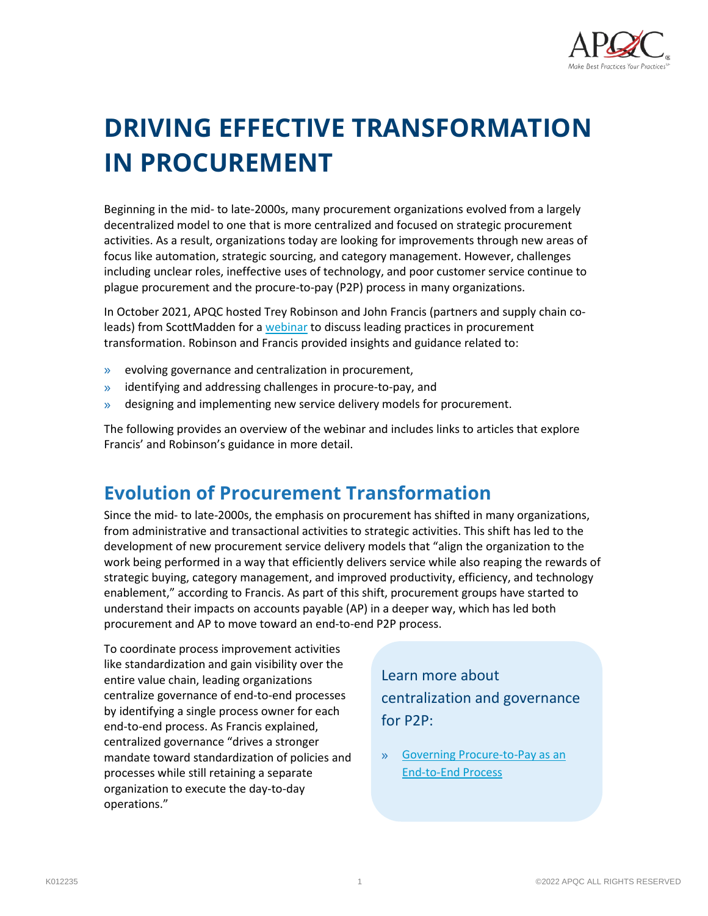

# **DRIVING EFFECTIVE TRANSFORMATION IN PROCUREMENT**

Beginning in the mid- to late-2000s, many procurement organizations evolved from a largely decentralized model to one that is more centralized and focused on strategic procurement activities. As a result, organizations today are looking for improvements through new areas of focus like automation, strategic sourcing, and category management. However, challenges including unclear roles, ineffective uses of technology, and poor customer service continue to plague procurement and the procure-to-pay (P2P) process in many organizations.

In October 2021, APQC hosted Trey Robinson and John Francis (partners and supply chain coleads) from ScottMadden for [a webinar](https://www.apqc.org/resource-library/resource-listing/leading-practices-procurement-transformation) to discuss leading practices in procurement transformation. Robinson and Francis provided insights and guidance related to:

- » evolving governance and centralization in procurement,
- » identifying and addressing challenges in procure-to-pay, and
- » designing and implementing new service delivery models for procurement.

The following provides an overview of the webinar and includes links to articles that explore Francis' and Robinson's guidance in more detail.

## **Evolution of Procurement Transformation**

Since the mid- to late-2000s, the emphasis on procurement has shifted in many organizations, from administrative and transactional activities to strategic activities. This shift has led to the development of new procurement service delivery models that "align the organization to the work being performed in a way that efficiently delivers service while also reaping the rewards of strategic buying, category management, and improved productivity, efficiency, and technology enablement," according to Francis. As part of this shift, procurement groups have started to understand their impacts on accounts payable (AP) in a deeper way, which has led both procurement and AP to move toward an end-to-end P2P process.

To coordinate process improvement activities like standardization and gain visibility over the entire value chain, leading organizations centralize governance of end-to-end processes by identifying a single process owner for each end-to-end process. As Francis explained, centralized governance "drives a stronger mandate toward standardization of policies and processes while still retaining a separate organization to execute the day-to-day operations."

Learn more about centralization and governance for P2P:

» [Governing Procure-to-Pay as an](https://www.apqc.org/resource-library/resource-listing/governing-procure-pay-end-end-process)  [End-to-End Process](https://www.apqc.org/resource-library/resource-listing/governing-procure-pay-end-end-process)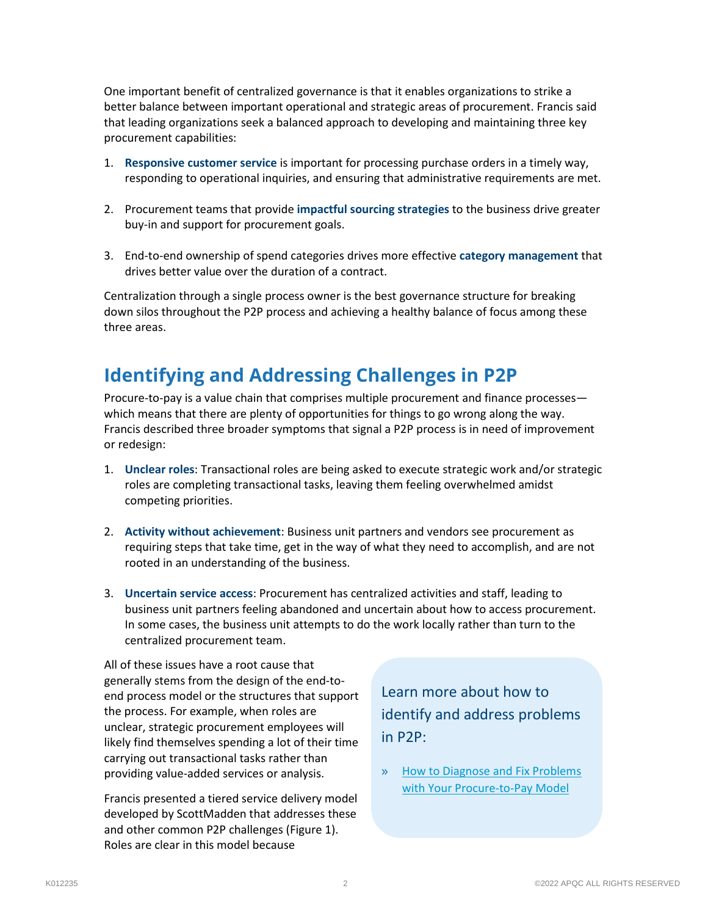One important benefit of centralized governance is that it enables organizations to strike a better balance between important operational and strategic areas of procurement. Francis said that leading organizations seek a balanced approach to developing and maintaining three key procurement capabilities:

- 1. **Responsive customer service** is important for processing purchase orders in a timely way, responding to operational inquiries, and ensuring that administrative requirements are met.
- 2. Procurement teams that provide **impactful sourcing strategies** to the business drive greater buy-in and support for procurement goals.
- 3. End-to-end ownership of spend categories drives more effective **category management** that drives better value over the duration of a contract.

Centralization through a single process owner is the best governance structure for breaking down silos throughout the P2P process and achieving a healthy balance of focus among these three areas.

## **Identifying and Addressing Challenges in P2P**

Procure-to-pay is a value chain that comprises multiple procurement and finance processes which means that there are plenty of opportunities for things to go wrong along the way. Francis described three broader symptoms that signal a P2P process is in need of improvement or redesign:

- 1. **Unclear roles**: Transactional roles are being asked to execute strategic work and/or strategic roles are completing transactional tasks, leaving them feeling overwhelmed amidst competing priorities.
- 2. **Activity without achievement**: Business unit partners and vendors see procurement as requiring steps that take time, get in the way of what they need to accomplish, and are not rooted in an understanding of the business.
- 3. **Uncertain service access**: Procurement has centralized activities and staff, leading to business unit partners feeling abandoned and uncertain about how to access procurement. In some cases, the business unit attempts to do the work locally rather than turn to the centralized procurement team.

All of these issues have a root cause that generally stems from the design of the end-toend process model or the structures that support the process. For example, when roles are unclear, strategic procurement employees will likely find themselves spending a lot of their time carrying out transactional tasks rather than providing value-added services or analysis.

Francis presented a tiered service delivery model developed by ScottMadden that addresses these and other common P2P challenges (Figure 1). Roles are clear in this model because

Learn more about how to identify and address problems in P2P:

» [How to Diagnose and Fix Problems](https://www.apqc.org/resource-library/resource-listing/how-diagnose-and-fix-problems-your-procure-pay-model)  with [Your Procure-to-Pay Model](https://www.apqc.org/resource-library/resource-listing/how-diagnose-and-fix-problems-your-procure-pay-model)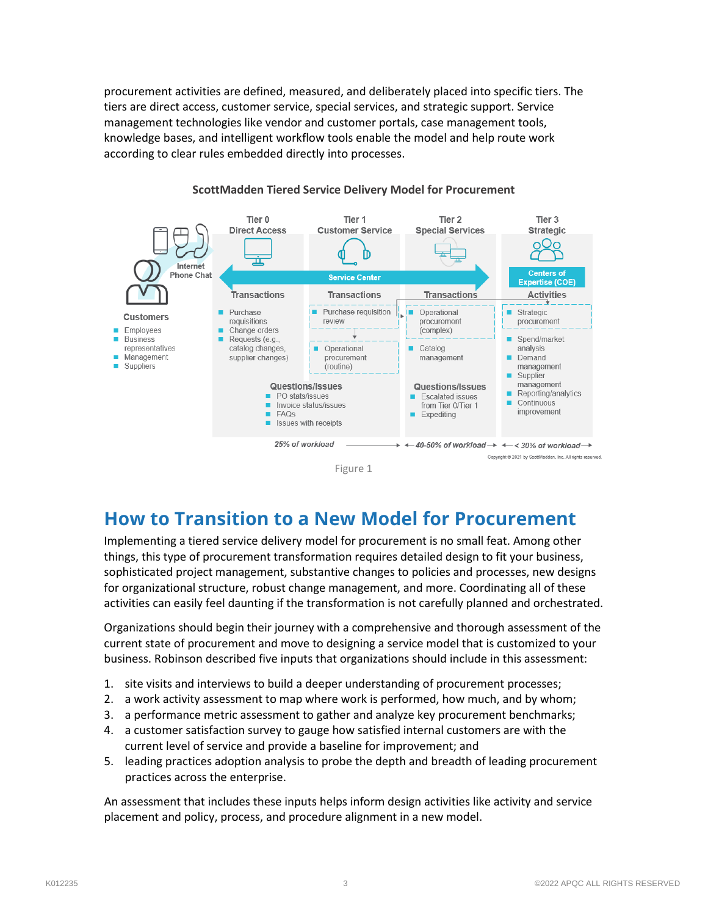procurement activities are defined, measured, and deliberately placed into specific tiers. The tiers are direct access, customer service, special services, and strategic support. Service management technologies like vendor and customer portals, case management tools, knowledge bases, and intelligent workflow tools enable the model and help route work according to clear rules embedded directly into processes.



#### **ScottMadden Tiered Service Delivery Model for Procurement**



Implementing a tiered service delivery model for procurement is no small feat. Among other things, this type of procurement transformation requires detailed design to fit your business, sophisticated project management, substantive changes to policies and processes, new designs for organizational structure, robust change management, and more. Coordinating all of these activities can easily feel daunting if the transformation is not carefully planned and orchestrated.

Organizations should begin their journey with a comprehensive and thorough assessment of the current state of procurement and move to designing a service model that is customized to your business. Robinson described five inputs that organizations should include in this assessment:

- 1. site visits and interviews to build a deeper understanding of procurement processes;
- 2. a work activity assessment to map where work is performed, how much, and by whom;
- 3. a performance metric assessment to gather and analyze key procurement benchmarks;
- 4. a customer satisfaction survey to gauge how satisfied internal customers are with the current level of service and provide a baseline for improvement; and
- 5. leading practices adoption analysis to probe the depth and breadth of leading procurement practices across the enterprise.

An assessment that includes these inputs helps inform design activities like activity and service placement and policy, process, and procedure alignment in a new model.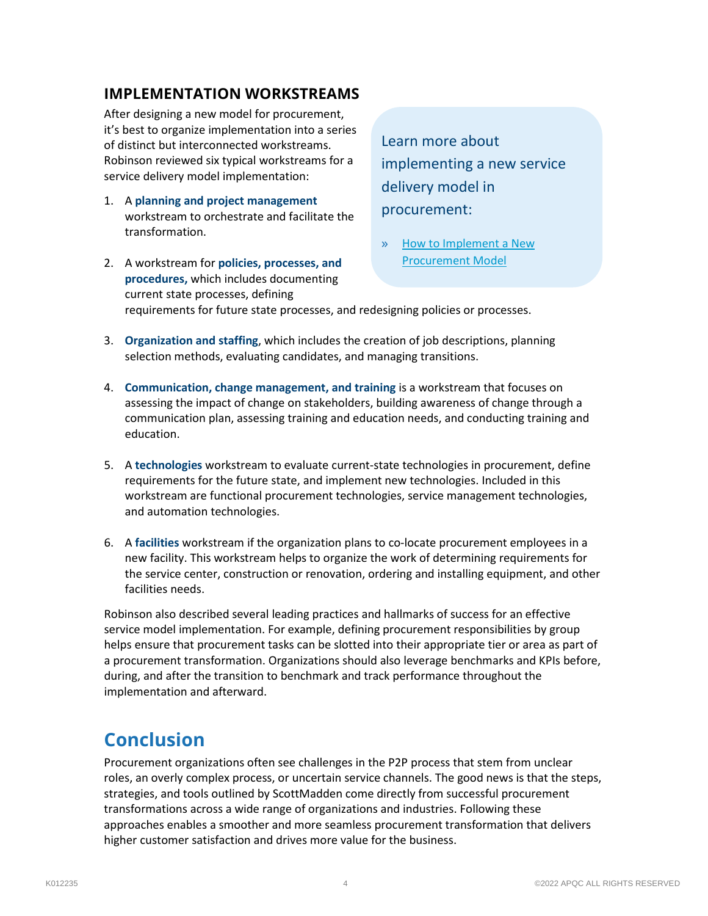#### **IMPLEMENTATION WORKSTREAMS**

After designing a new model for procurement, it's best to organize implementation into a series of distinct but interconnected workstreams. Robinson reviewed six typical workstreams for a service delivery model implementation:

1. A **planning and project management** workstream to orchestrate and facilitate the transformation.

Learn more about implementing a new service delivery model in procurement:

» [How to Implement a New](https://www.apqc.org/resource-library/resource-listing/how-design-and-implement-new-procurement-model)  [Procurement Model](https://www.apqc.org/resource-library/resource-listing/how-design-and-implement-new-procurement-model)

2. A workstream for **policies, processes, and procedures,** which includes documenting current state processes, defining requirements for future state processes, and redesigning policies or processes.

- 3. **Organization and staffing**, which includes the creation of job descriptions, planning selection methods, evaluating candidates, and managing transitions.
- 4. **Communication, change management, and training** is a workstream that focuses on assessing the impact of change on stakeholders, building awareness of change through a communication plan, assessing training and education needs, and conducting training and education.
- 5. A **technologies** workstream to evaluate current-state technologies in procurement, define requirements for the future state, and implement new technologies. Included in this workstream are functional procurement technologies, service management technologies, and automation technologies.
- 6. A **facilities** workstream if the organization plans to co-locate procurement employees in a new facility. This workstream helps to organize the work of determining requirements for the service center, construction or renovation, ordering and installing equipment, and other facilities needs.

Robinson also described several leading practices and hallmarks of success for an effective service model implementation. For example, defining procurement responsibilities by group helps ensure that procurement tasks can be slotted into their appropriate tier or area as part of a procurement transformation. Organizations should also leverage benchmarks and KPIs before, during, and after the transition to benchmark and track performance throughout the implementation and afterward.

## **Conclusion**

Procurement organizations often see challenges in the P2P process that stem from unclear roles, an overly complex process, or uncertain service channels. The good news is that the steps, strategies, and tools outlined by ScottMadden come directly from successful procurement transformations across a wide range of organizations and industries. Following these approaches enables a smoother and more seamless procurement transformation that delivers higher customer satisfaction and drives more value for the business.